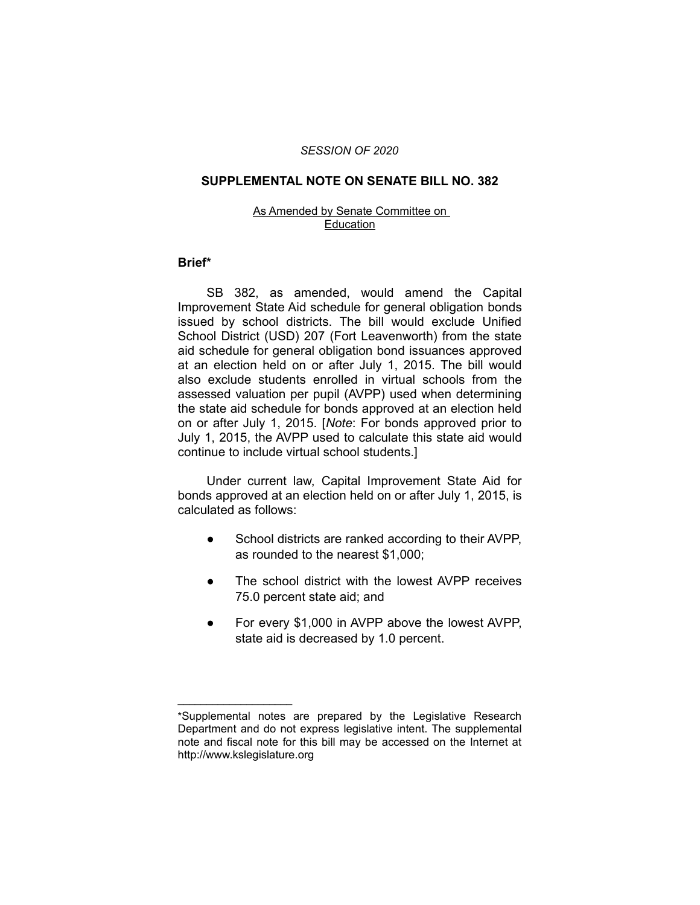### *SESSION OF 2020*

#### **SUPPLEMENTAL NOTE ON SENATE BILL NO. 382**

#### As Amended by Senate Committee on Education

## **Brief\***

SB 382, as amended, would amend the Capital Improvement State Aid schedule for general obligation bonds issued by school districts. The bill would exclude Unified School District (USD) 207 (Fort Leavenworth) from the state aid schedule for general obligation bond issuances approved at an election held on or after July 1, 2015. The bill would also exclude students enrolled in virtual schools from the assessed valuation per pupil (AVPP) used when determining the state aid schedule for bonds approved at an election held on or after July 1, 2015. [*Note*: For bonds approved prior to July 1, 2015, the AVPP used to calculate this state aid would continue to include virtual school students.]

Under current law, Capital Improvement State Aid for bonds approved at an election held on or after July 1, 2015, is calculated as follows:

- School districts are ranked according to their AVPP, as rounded to the nearest \$1,000;
- The school district with the lowest AVPP receives 75.0 percent state aid; and
- For every \$1,000 in AVPP above the lowest AVPP, state aid is decreased by 1.0 percent.

 $\overline{\phantom{a}}$  , where  $\overline{\phantom{a}}$  , where  $\overline{\phantom{a}}$ 

<sup>\*</sup>Supplemental notes are prepared by the Legislative Research Department and do not express legislative intent. The supplemental note and fiscal note for this bill may be accessed on the Internet at http://www.kslegislature.org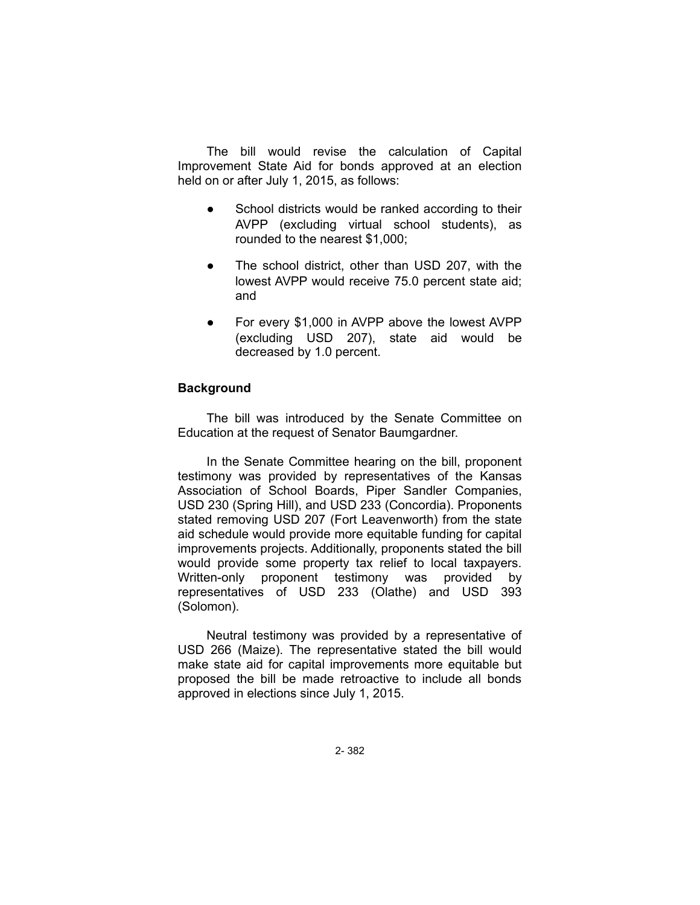The bill would revise the calculation of Capital Improvement State Aid for bonds approved at an election held on or after July 1, 2015, as follows:

- School districts would be ranked according to their AVPP (excluding virtual school students), as rounded to the nearest \$1,000;
- The school district, other than USD 207, with the lowest AVPP would receive 75.0 percent state aid; and
- For every \$1,000 in AVPP above the lowest AVPP (excluding USD 207), state aid would be decreased by 1.0 percent.

# **Background**

The bill was introduced by the Senate Committee on Education at the request of Senator Baumgardner.

In the Senate Committee hearing on the bill, proponent testimony was provided by representatives of the Kansas Association of School Boards, Piper Sandler Companies, USD 230 (Spring Hill), and USD 233 (Concordia). Proponents stated removing USD 207 (Fort Leavenworth) from the state aid schedule would provide more equitable funding for capital improvements projects. Additionally, proponents stated the bill would provide some property tax relief to local taxpayers. Written-only proponent testimony was provided by representatives of USD 233 (Olathe) and USD 393 (Solomon).

Neutral testimony was provided by a representative of USD 266 (Maize). The representative stated the bill would make state aid for capital improvements more equitable but proposed the bill be made retroactive to include all bonds approved in elections since July 1, 2015.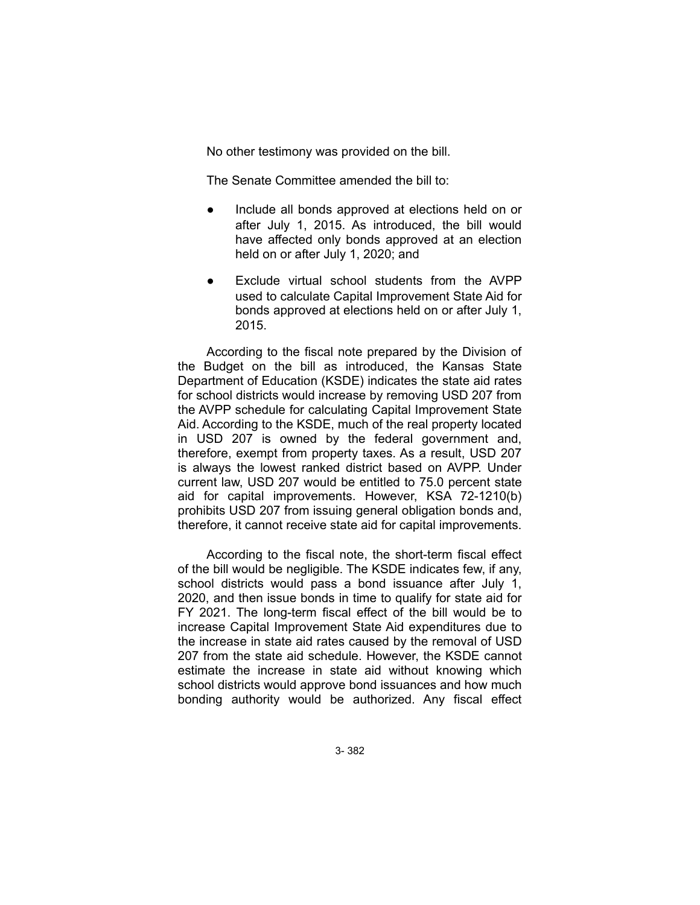No other testimony was provided on the bill.

The Senate Committee amended the bill to:

- Include all bonds approved at elections held on or after July 1, 2015. As introduced, the bill would have affected only bonds approved at an election held on or after July 1, 2020; and
- Exclude virtual school students from the AVPP used to calculate Capital Improvement State Aid for bonds approved at elections held on or after July 1, 2015.

According to the fiscal note prepared by the Division of the Budget on the bill as introduced, the Kansas State Department of Education (KSDE) indicates the state aid rates for school districts would increase by removing USD 207 from the AVPP schedule for calculating Capital Improvement State Aid. According to the KSDE, much of the real property located in USD 207 is owned by the federal government and, therefore, exempt from property taxes. As a result, USD 207 is always the lowest ranked district based on AVPP. Under current law, USD 207 would be entitled to 75.0 percent state aid for capital improvements. However, KSA 72-1210(b) prohibits USD 207 from issuing general obligation bonds and, therefore, it cannot receive state aid for capital improvements.

According to the fiscal note, the short-term fiscal effect of the bill would be negligible. The KSDE indicates few, if any, school districts would pass a bond issuance after July 1, 2020, and then issue bonds in time to qualify for state aid for FY 2021. The long-term fiscal effect of the bill would be to increase Capital Improvement State Aid expenditures due to the increase in state aid rates caused by the removal of USD 207 from the state aid schedule. However, the KSDE cannot estimate the increase in state aid without knowing which school districts would approve bond issuances and how much bonding authority would be authorized. Any fiscal effect